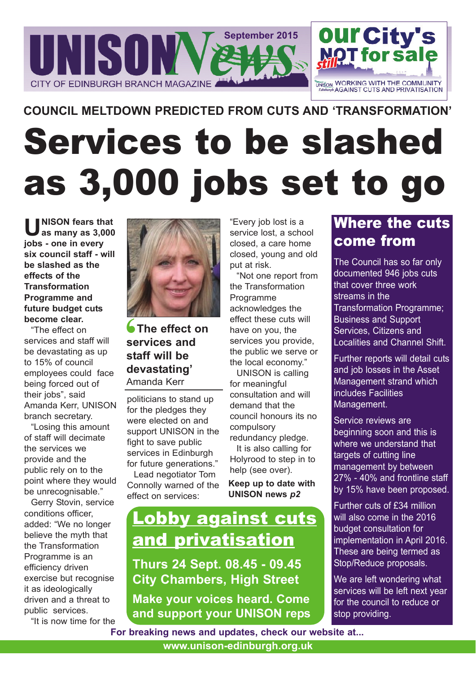

### **COUNCIL MELTDOWN PREDICTED FROM CUTS AND 'TRANSFORMATION'**

# Services to be slashed as 3,000 jobs set to go

U NISON fears that<br>as many as 3,000 **as many as 3,000 jobs - one in every six council staff - will be slashed as the effects of the Transformation Programme and future budget cuts become clear.** 

"The effect on services and staff will be devastating as up to 15% of council employees could face being forced out of their jobs", said Amanda Kerr, UNISON branch secretary.

"Losing this amount of staff will decimate the services we provide and the public rely on to the point where they would be unrecognisable."

Gerry Stovin, service conditions officer, added: "We no longer believe the myth that the Transformation Programme is an efficiency driven exercise but recognise it as ideologically driven and a threat to public services.

"It is now time for the



**The effect on services and staff will be devastating'** Amanda Kerr  $\begin{array}{c} 6 \\text{se} \\ \text{st} \end{array}$ 

politicians to stand up for the pledges they were elected on and support UNISON in the fight to save public services in Edinburgh for future generations."

Lead negotiator Tom Connolly warned of the effect on services:

"Every job lost is a service lost, a school closed, a care home closed, young and old put at risk.

"Not one report from the Transformation Programme acknowledges the effect these cuts will have on you, the services you provide, the public we serve or the local economy."

UNISON is calling for meaningful consultation and will demand that the council honours its no compulsory

redundancy pledge. It is also calling for Holyrood to step in to help (see over).

**Keep up to date with UNISON news** *p2*

## Lobby against cuts and privatisation

**Thurs 24 Sept. 08.45 - 09.45 City Chambers, High Street**

**Make your voices heard. Come and support your UNISON reps**

## Where the cuts come from

The Council has so far only documented 946 jobs cuts that cover three work streams in the Transformation Programme; Business and Support Services, Citizens and Localities and Channel Shift.

Further reports will detail cuts and job losses in the Asset Management strand which includes Facilities Management.

Service reviews are beginning soon and this is where we understand that targets of cutting line management by between 27% - 40% and frontline staff by 15% have been proposed.

Further cuts of £34 million will also come in the 2016 budget consultation for implementation in April 2016. These are being termed as Stop/Reduce proposals.

We are left wondering what services will be left next year for the council to reduce or stop providing.

**For breaking news and updates, check our website at...**

**www.unison-edinburgh.org.uk**